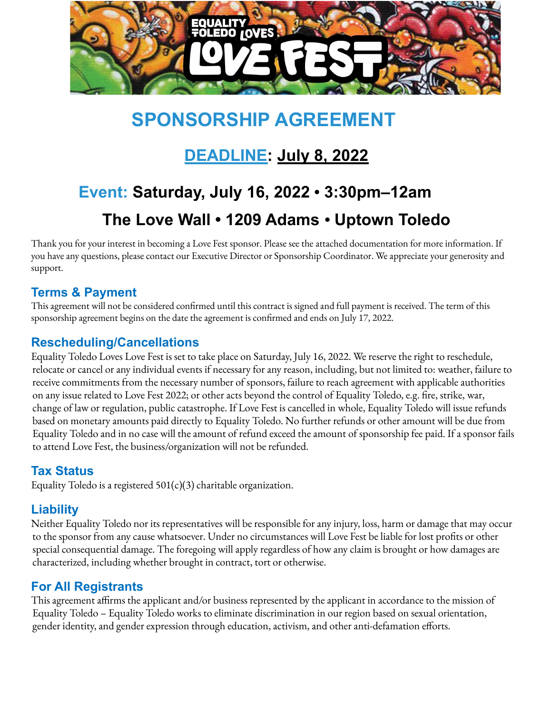

# **SPONSORSHIP AGREEMENT**

## **DEADLINE: July 8, 2022**

# **Event: Saturday, July 16, 2022** • **3:30pm–12am The Love Wall • 1209 Adams** • **Uptown Toledo**

Thank you for your interest in becoming a Love Fest sponsor. Please see the attached documentation for more information. If you have any questions, please contact our Executive Director or Sponsorship Coordinator. We appreciate your generosity and support.

### **Terms & Payment**

This agreement will not be considered confirmed until this contract is signed and full payment is received. The term of this sponsorship agreement begins on the date the agreement is confirmed and ends on July 17, 2022.

### **Rescheduling/Cancellations**

Equality Toledo Loves Love Fest is set to take place on Saturday, July 16, 2022. We reserve the right to reschedule, relocate or cancel or any individual events if necessary for any reason, including, but not limited to: weather, failure to receive commitments from the necessary number of sponsors, failure to reach agreement with applicable authorities on any issue related to Love Fest 2022; or other acts beyond the control of Equality Toledo, e.g. fire, strike, war, change of law or regulation, public catastrophe. If Love Fest is cancelled in whole, Equality Toledo will issue refunds based on monetary amounts paid directly to Equality Toledo. No further refunds or other amount will be due from Equality Toledo and in no case will the amount of refund exceed the amount of sponsorship fee paid. If a sponsor fails to attend Love Fest, the business/organization will not be refunded.

### **Tax Status**

Equality Toledo is a registered  $501(c)(3)$  charitable organization.

### **Liability**

Neither Equality Toledo nor its representatives will be responsible for any injury, loss, harm or damage that may occur to the sponsor from any cause whatsoever. Under no circumstances will Love Fest be liable for lost profits or other special consequential damage. The foregoing will apply regardless of how any claim is brought or how damages are characterized, including whether brought in contract, tort or otherwise.

### **For All Registrants**

This agreement affirms the applicant and/or business represented by the applicant in accordance to the mission of Equality Toledo – Equality Toledo works to eliminate discrimination in our region based on sexual orientation, gender identity, and gender expression through education, activism, and other anti-defamation efforts.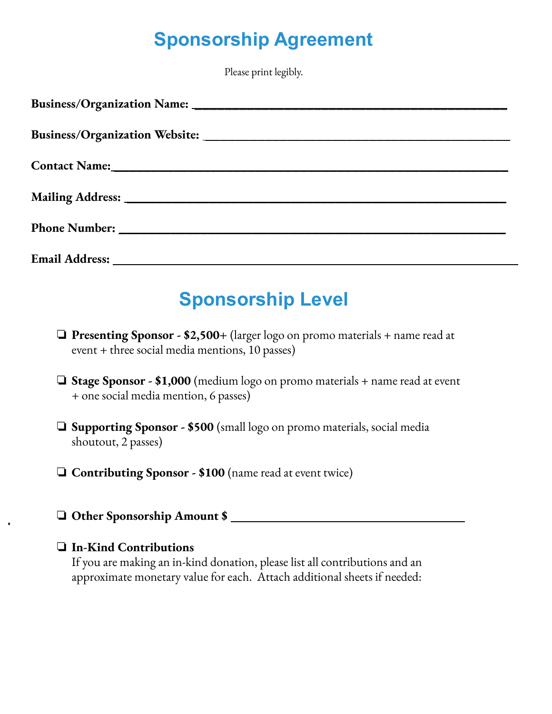# **Sponsorship Agreement**

Please print legibly.

## **Sponsorship Level**

- ❏ **Presenting Sponsor - \$2,500+** (larger logo on promo materials + name read at event + three social media mentions, 10 passes)
- ❏ **Stage Sponsor - \$1,000** (medium logo on promo materials + name read at event + one social media mention, 6 passes)
- ❏ **Supporting Sponsor - \$500** (small logo on promo materials, social media shoutout, 2 passes)
- ❏ **Contributing Sponsor - \$100** (name read at event twice)
- ❏ **Other Sponsorship Amount \$ \_\_\_\_\_\_\_\_\_\_\_\_\_\_\_\_\_\_\_\_\_\_\_\_\_\_\_\_\_**

### ❏ **In-Kind Contributions**

If you are making an in-kind donation, please list all contributions and an approximate monetary value for each. Attach additional sheets if needed: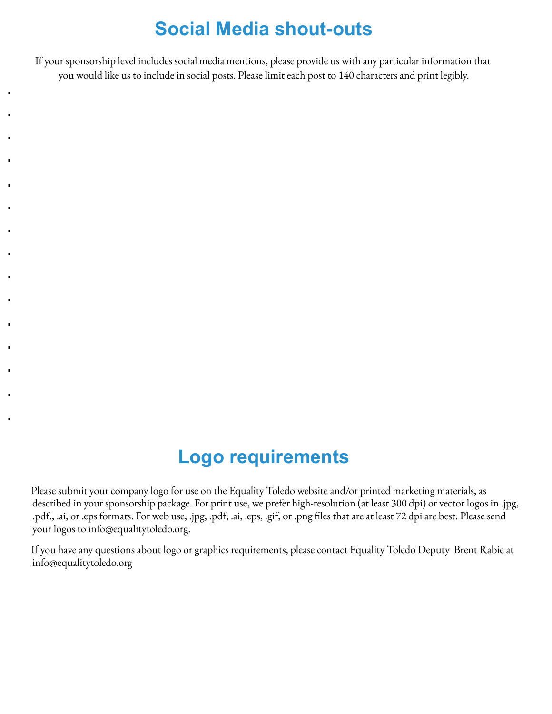## **Social Media shout-outs**

If your sponsorship level includes social media mentions, please provide us with any particular information that you would like us to include in social posts. Please limit each post to 140 characters and print legibly.

## **Logo requirements**

Please submit your company logo for use on the Equality Toledo website and/or printed marketing materials, as described in your sponsorship package. For print use, we prefer high-resolution (at least 300 dpi) or vector logos in .jpg, .pdf., .ai, or .eps formats. For web use, .jpg, .pdf, .ai, .eps, .gif, or .png files that are at least 72 dpi are best. Please send your logos to info@equalitytoledo.org.

If you have any questions about logo or graphics requirements, please contact Equality Toledo Deputy Brent Rabie at info@equalitytoledo.org